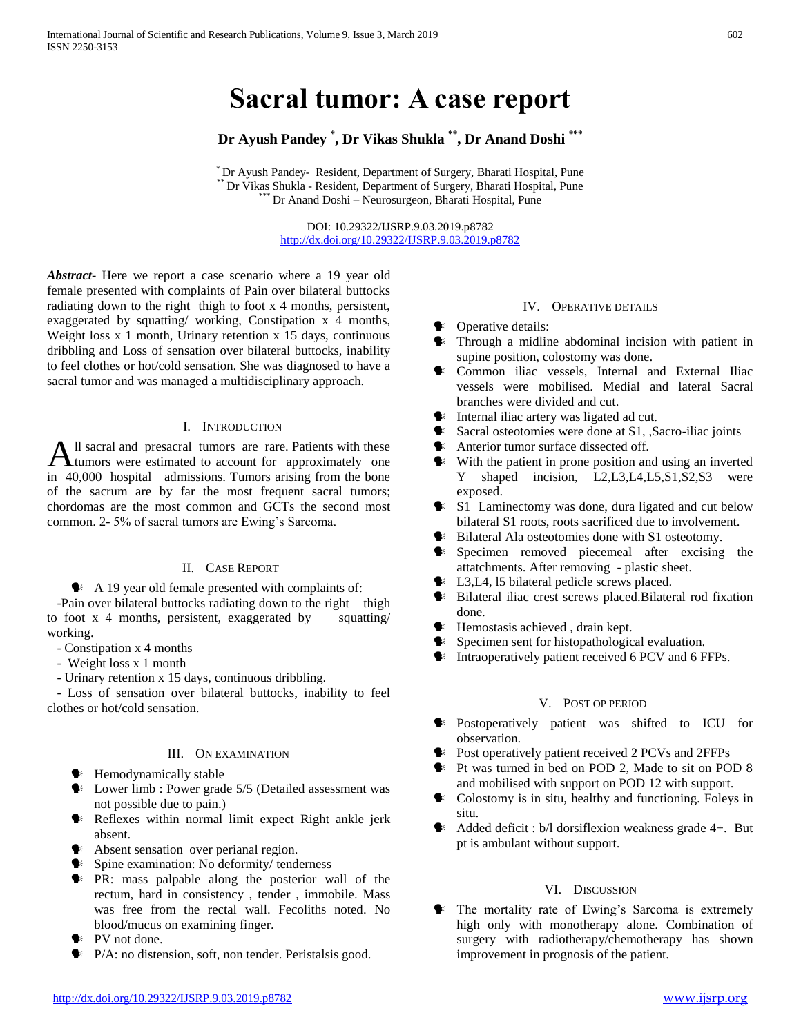# **Sacral tumor: A case report**

## **Dr Ayush Pandey \* , Dr Vikas Shukla \*\* , Dr Anand Doshi \*\*\***

\* Dr Ayush Pandey- Resident, Department of Surgery, Bharati Hospital, Pune \*\* Dr Vikas Shukla - Resident, Department of Surgery, Bharati Hospital, Pune Dr Anand Doshi – Neurosurgeon, Bharati Hospital, Pune

> DOI: 10.29322/IJSRP.9.03.2019.p8782 <http://dx.doi.org/10.29322/IJSRP.9.03.2019.p8782>

*Abstract***-** Here we report a case scenario where a 19 year old female presented with complaints of Pain over bilateral buttocks radiating down to the right thigh to foot x 4 months, persistent, exaggerated by squatting/ working, Constipation x 4 months, Weight loss x 1 month, Urinary retention x 15 days, continuous dribbling and Loss of sensation over bilateral buttocks, inability to feel clothes or hot/cold sensation. She was diagnosed to have a sacral tumor and was managed a multidisciplinary approach.

## I. INTRODUCTION

ll sacral and presacral tumors are rare. Patients with these All sacral and presacral tumors are rare. Patients with these<br>tumors were estimated to account for approximately one in 40,000 hospital admissions. Tumors arising from the bone of the sacrum are by far the most frequent sacral tumors; chordomas are the most common and GCTs the second most common. 2- 5% of sacral tumors are Ewing's Sarcoma.

## II. CASE REPORT

 $\blacklozenge$  A 19 year old female presented with complaints of:

-Pain over bilateral buttocks radiating down to the right thigh to foot x 4 months, persistent, exaggerated by squatting/ working.

- Constipation x 4 months
- Weight loss x 1 month
- Urinary retention x 15 days, continuous dribbling.

 - Loss of sensation over bilateral buttocks, inability to feel clothes or hot/cold sensation.

## III. ON EXAMINATION

- $\bullet$  **Hemodynamically stable**
- Lower limb : Power grade 5/5 (Detailed assessment was not possible due to pain.)
- Reflexes within normal limit expect Right ankle jerk absent.
- Absent sensation over perianal region.
- **Spine examination:** No deformity/ tenderness
- $\blacktriangleright$  PR: mass palpable along the posterior wall of the rectum, hard in consistency , tender , immobile. Mass was free from the rectal wall. Fecoliths noted. No blood/mucus on examining finger.
- **►** PV not done.
- P/A: no distension, soft, non tender. Peristalsis good.

## IV. OPERATIVE DETAILS

- Operative details:
- Through a midline abdominal incision with patient in supine position, colostomy was done.
- **Common** iliac vessels, Internal and External Iliac vessels were mobilised. Medial and lateral Sacral branches were divided and cut.
- $\blacklozenge$  Internal iliac artery was ligated ad cut.
- Sacral osteotomies were done at S1, ,Sacro-iliac joints
- **Anterior tumor surface dissected off.**
- $\bullet$  With the patient in prone position and using an inverted Y shaped incision, L2,L3,L4,L5,S1,S2,S3 were exposed.
- S1 Laminectomy was done, dura ligated and cut below bilateral S1 roots, roots sacrificed due to involvement.
- Bilateral Ala osteotomies done with S1 osteotomy.
- Specimen removed piecemeal after excising the attatchments. After removing - plastic sheet.
- L3,L4, l5 bilateral pedicle screws placed.
- Bilateral iliac crest screws placed.Bilateral rod fixation done.
- $\blacklozenge$  Hemostasis achieved, drain kept.
- $\bullet$  Specimen sent for histopathological evaluation.
- $\blacklozenge$  Intraoperatively patient received 6 PCV and 6 FFPs.

## V. POST OP PERIOD

- Postoperatively patient was shifted to ICU for observation.
- **Post operatively patient received 2 PCVs and 2FFPs**
- **Pt** Was turned in bed on POD 2, Made to sit on POD 8 and mobilised with support on POD 12 with support.
- $\bullet$  Colostomy is in situ, healthy and functioning. Foleys in situ.
- Added deficit : b/l dorsiflexion weakness grade 4+. But pt is ambulant without support.

#### VI. DISCUSSION

**•** The mortality rate of Ewing's Sarcoma is extremely high only with monotherapy alone. Combination of surgery with radiotherapy/chemotherapy has shown improvement in prognosis of the patient.